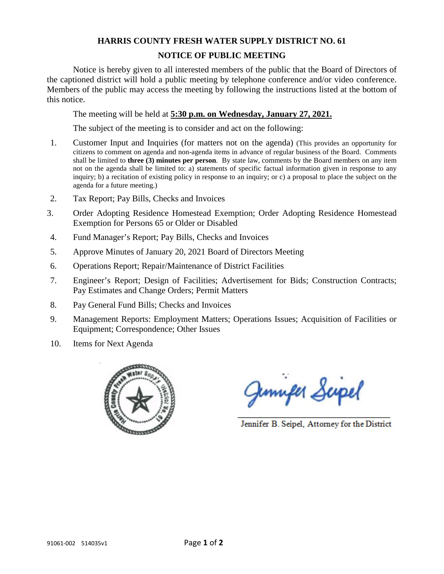## **HARRIS COUNTY FRESH WATER SUPPLY DISTRICT NO. 61**

## **NOTICE OF PUBLIC MEETING**

Notice is hereby given to all interested members of the public that the Board of Directors of the captioned district will hold a public meeting by telephone conference and/or video conference. Members of the public may access the meeting by following the instructions listed at the bottom of this notice.

The meeting will be held at **5:30 p.m. on Wednesday, January 27, 2021.**

The subject of the meeting is to consider and act on the following:

- 1. Customer Input and Inquiries (for matters not on the agenda) (This provides an opportunity for citizens to comment on agenda and non-agenda items in advance of regular business of the Board. Comments shall be limited to **three (3) minutes per person**. By state law, comments by the Board members on any item not on the agenda shall be limited to: a) statements of specific factual information given in response to any inquiry; b) a recitation of existing policy in response to an inquiry; or c) a proposal to place the subject on the agenda for a future meeting.)
- 2. Tax Report; Pay Bills, Checks and Invoices
- 3. Order Adopting Residence Homestead Exemption; Order Adopting Residence Homestead Exemption for Persons 65 or Older or Disabled
- 4. Fund Manager's Report; Pay Bills, Checks and Invoices
- 5. Approve Minutes of January 20, 2021 Board of Directors Meeting
- 6. Operations Report; Repair/Maintenance of District Facilities
- 7. Engineer's Report; Design of Facilities; Advertisement for Bids; Construction Contracts; Pay Estimates and Change Orders; Permit Matters
- 8. Pay General Fund Bills; Checks and Invoices
- 9. Management Reports: Employment Matters; Operations Issues; Acquisition of Facilities or Equipment; Correspondence; Other Issues
- 10. Items for Next Agenda



Junifer Scipel

Jennifer B. Seipel, Attorney for the District